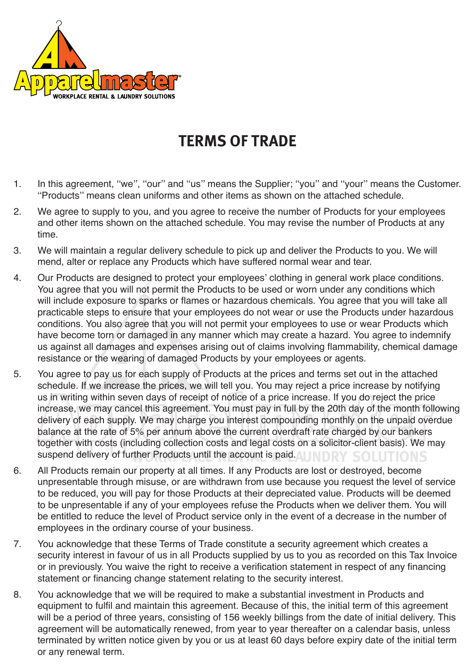

## **TERMS OF TRADE**

- 1. In this agreement, ''we'', ''our'' and ''us'' means the Supplier; ''you'' and ''your'' means the Customer. ''Products'' means clean uniforms and other items as shown on the attached schedule.
- 2. We agree to supply to you, and you agree to receive the number of Products for your employees and other items shown on the attached schedule. You may revise the number of Products at any time.
- 3. We will maintain a regular delivery schedule to pick up and deliver the Products to you. We will mend, alter or replace any Products which have suffered normal wear and tear.
- 4. Our Products are designed to protect your employees' clothing in general work place conditions. You agree that you will not permit the Products to be used or worn under any conditions which will include exposure to sparks or flames or hazardous chemicals. You agree that you will take all practicable steps to ensure that your employees do not wear or use the Products under hazardous conditions. You also agree that you will not permit your employees to use or wear Products which have become torn or damaged in any manner which may create a hazard. You agree to indemnify us against all damages and expenses arising out of claims involving flammability, chemical damage resistance or the wearing of damaged Products by your employees or agents.
- 5. You agree to pay us for each supply of Products at the prices and terms set out in the attached schedule. If we increase the prices, we will tell you. You may reject a price increase by notifying us in writing within seven days of receipt of notice of a price increase. If you do reject the price increase, we may cancel this agreement. You must pay in full by the 20th day of the month following delivery of each supply. We may charge you interest compounding monthly on the unpaid overdue balance at the rate of 5% per annum above the current overdraft rate charged by our bankers together with costs (including collection costs and legal costs on a solicitor-client basis). We may suspend delivery of further Products until the account is paid. I INDRY SOLUTIONS
- 6. All Products remain our property at all times. If any Products are lost or destroyed, become unpresentable through misuse, or are withdrawn from use because you request the level of service to be reduced, you will pay for those Products at their depreciated value. Products will be deemed to be unpresentable if any of your employees refuse the Products when we deliver them. You will be entitled to reduce the level of Product service only in the event of a decrease in the number of employees in the ordinary course of your business.
- 7. You acknowledge that these Terms of Trade constitute a security agreement which creates a security interest in favour of us in all Products supplied by us to you as recorded on this Tax Invoice or in previously. You waive the right to receive a verification statement in respect of any financing statement or financing change statement relating to the security interest.
- 8. You acknowledge that we will be required to make a substantial investment in Products and equipment to fulfil and maintain this agreement. Because of this, the initial term of this agreement will be a period of three years, consisting of 156 weekly billings from the date of initial delivery. This agreement will be automatically renewed, from year to year thereafter on a calendar basis, unless terminated by written notice given by you or us at least 60 days before expiry date of the initial term or any renewal term.